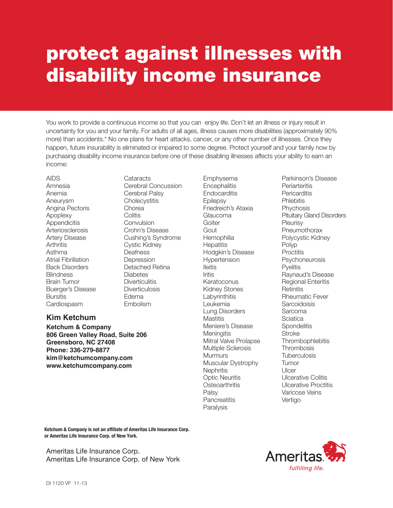## protect against illnesses with disability income insurance

You work to provide a continuous income so that you can enjoy life. Don't let an illness or injury result in uncertainty for you and your family. For adults of all ages, illness causes more disabilities (approximately 90% more) than accidents.\* No one plans for heart attacks, cancer, or any other number of illnesses. Once they happen, future insurability is eliminated or impaired to some degree. Protect yourself and your family now by purchasing disability income insurance before one of these disabling illnesses affects your ability to earn an income:

AIDS Amnesia Anemia Aneurysm Angina Pectoris Apoplexy **Appendicitis Arteriosclerosis** Artery Disease **Arthritis** Asthma Atrial Fibrillation Back Disorders **Blindness** Brain Tumor Buerger's Disease **Bursitis Cardiospasm** 

Cataracts Cerebral Concussion Cerebral Palsy **Cholecystitis Chorea Colitis** Convulsion Crohn's Disease Cushing's Syndrome Cystic Kidney Deafness **Depression** Detached Retina **Diabetes Diverticulitis Diverticulosis** Edema Embolism

## **Kim Ketchum**

Ketchum & Company 806 Green Valley Road, Suite 206 Greensboro, NC 27408 Phone: 336-279-8877 kim@ketchumcompany.com www.ketchumcompany.com

Emphysema **Encephalitis Endocarditis** Epilepsy Friedreich's Ataxia Glaucoma Goiter Gout **Hemophilia Hepatitis** Hodgkin's Disease Hypertension Ileitis Iritis Keratoconus Kidney Stones Labyrinthitis Leukemia Lung Disorders **Mastitis** Meniere's Disease **Meningitis** Mitral Valve Prolapse Multiple Sclerosis **Murmurs** Muscular Dystrophy **Nephritis** Optic Neuritis **Osteoarthritis** Palsy **Pancreatitis** Paralysis

Parkinson's Disease **Periarteritis Pericarditis Phlebitis** Phychosis Pituitary Gland Disorders **Pleurisy Pneumothorax** Polycystic Kidney Polyp **Proctitis** Psychoneurosis **P**velitis Raynaud's Disease Regional Enteritis **Retinitis** Rheumatic Fever **Sarcoidoisis Sarcoma Sciatica Spondelitis Stroke Thrombophlebitis Thrombosis Tuberculosis** Tumor **Ulcer** Ulcerative Colitis Ulcerative Proctitis Varicose Veins Vertigo

Ketchum & Company is not an affiliate of Ameritas Life Insurance Corp. or Ameritas Life Insurance Corp. of New York.

Ameritas Life Insurance Corp. Ameritas Life Insurance Corp. of New York